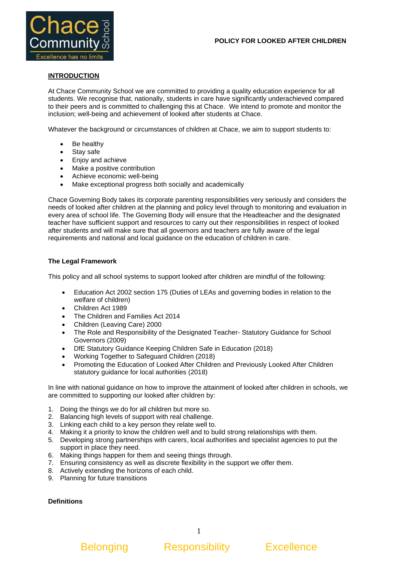

# **INTRODUCTION**

At Chace Community School we are committed to providing a quality education experience for all students. We recognise that, nationally, students in care have significantly underachieved compared to their peers and is committed to challenging this at Chace. We intend to promote and monitor the inclusion; well-being and achievement of looked after students at Chace.

Whatever the background or circumstances of children at Chace, we aim to support students to:

- Be healthy
- Stay safe
- Enjoy and achieve
- Make a positive contribution
- Achieve economic well-being
- Make exceptional progress both socially and academically

Chace Governing Body takes its corporate parenting responsibilities very seriously and considers the needs of looked after children at the planning and policy level through to monitoring and evaluation in every area of school life. The Governing Body will ensure that the Headteacher and the designated teacher have sufficient support and resources to carry out their responsibilities in respect of looked after students and will make sure that all governors and teachers are fully aware of the legal requirements and national and local guidance on the education of children in care*.* 

## **The Legal Framework**

This policy and all school systems to support looked after children are mindful of the following:

- Education Act 2002 section 175 (Duties of LEAs and governing bodies in relation to the welfare of children)
- Children Act 1989
- The Children and Families Act 2014
- Children (Leaving Care) 2000
- The Role and Responsibility of the Designated Teacher- Statutory Guidance for School Governors (2009)
- DfE Statutory Guidance Keeping Children Safe in Education (2018)
- Working Together to Safeguard Children (2018)
- Promoting the Education of Looked After Children and Previously Looked After Children statutory guidance for local authorities (2018)

In line with national guidance on how to improve the attainment of looked after children in schools, we are committed to supporting our looked after children by:

- 1. Doing the things we do for all children but more so.
- 2. Balancing high levels of support with real challenge.
- 3. Linking each child to a key person they relate well to.
- 4. Making it a priority to know the children well and to build strong relationships with them.
- 5. Developing strong partnerships with carers, local authorities and specialist agencies to put the support in place they need.
- 6. Making things happen for them and seeing things through.
- 7. Ensuring consistency as well as discrete flexibility in the support we offer them.
- 8. Actively extending the horizons of each child.
- 9. Planning for future transitions

### **Definitions**

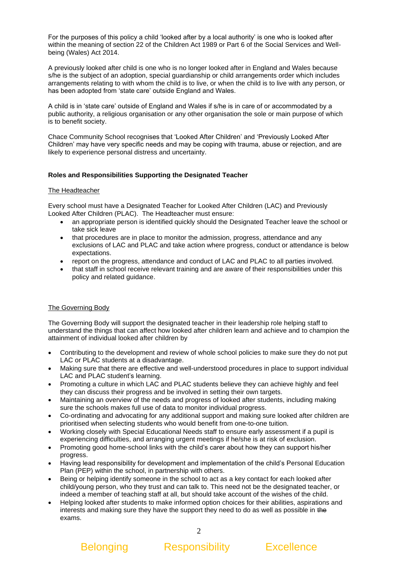For the purposes of this policy a child 'looked after by a local authority' is one who is looked after within the meaning of section 22 of the Children Act 1989 or Part 6 of the Social Services and Wellbeing (Wales) Act 2014.

A previously looked after child is one who is no longer looked after in England and Wales because s/he is the subject of an adoption, special guardianship or child arrangements order which includes arrangements relating to with whom the child is to live, or when the child is to live with any person, or has been adopted from 'state care' outside England and Wales.

A child is in 'state care' outside of England and Wales if s/he is in care of or accommodated by a public authority, a religious organisation or any other organisation the sole or main purpose of which is to benefit society.

Chace Community School recognises that 'Looked After Children' and 'Previously Looked After Children' may have very specific needs and may be coping with trauma, abuse or rejection, and are likely to experience personal distress and uncertainty.

## **Roles and Responsibilities Supporting the Designated Teacher**

### The Headteacher

Every school must have a Designated Teacher for Looked After Children (LAC) and Previously Looked After Children (PLAC). The Headteacher must ensure:

- an appropriate person is identified quickly should the Designated Teacher leave the school or take sick leave
- that procedures are in place to monitor the admission, progress, attendance and any exclusions of LAC and PLAC and take action where progress, conduct or attendance is below expectations.
- report on the progress, attendance and conduct of LAC and PLAC to all parties involved.
- that staff in school receive relevant training and are aware of their responsibilities under this policy and related guidance.

# The Governing Body

The Governing Body will support the designated teacher in their leadership role helping staff to understand the things that can affect how looked after children learn and achieve and to champion the attainment of individual looked after children by

- Contributing to the development and review of whole school policies to make sure they do not put LAC or PLAC students at a disadvantage.
- Making sure that there are effective and well-understood procedures in place to support individual LAC and PLAC student's learning.
- Promoting a culture in which LAC and PLAC students believe they can achieve highly and feel they can discuss their progress and be involved in setting their own targets.
- Maintaining an overview of the needs and progress of looked after students, including making sure the schools makes full use of data to monitor individual progress.
- Co-ordinating and advocating for any additional support and making sure looked after children are prioritised when selecting students who would benefit from one-to-one tuition.
- Working closely with Special Educational Needs staff to ensure early assessment if a pupil is experiencing difficulties, and arranging urgent meetings if he/she is at risk of exclusion.
- Promoting good home-school links with the child's carer about how they can support his/her progress.
- Having lead responsibility for development and implementation of the child's Personal Education Plan (PEP) within the school, in partnership with others.
- Being or helping identify someone in the school to act as a key contact for each looked after child/young person, who they trust and can talk to. This need not be the designated teacher, or indeed a member of teaching staff at all, but should take account of the wishes of the child.
- Helping looked after students to make informed option choices for their abilities, aspirations and interests and making sure they have the support they need to do as well as possible in the exams.

# Belonging Responsibility Excellence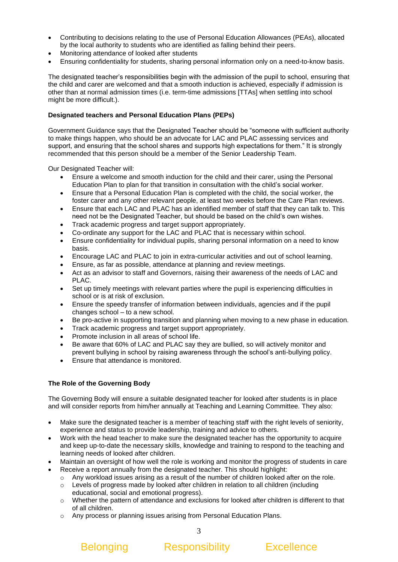- Contributing to decisions relating to the use of Personal Education Allowances (PEAs), allocated by the local authority to students who are identified as falling behind their peers.
- Monitoring attendance of looked after students
- Ensuring confidentiality for students, sharing personal information only on a need-to-know basis.

The designated teacher's responsibilities begin with the admission of the pupil to school, ensuring that the child and carer are welcomed and that a smooth induction is achieved, especially if admission is other than at normal admission times (i.e. term-time admissions [TTAs] when settling into school might be more difficult.).

# **Designated teachers and Personal Education Plans (PEPs)**

Government Guidance says that the Designated Teacher should be "someone with sufficient authority to make things happen, who should be an advocate for LAC and PLAC assessing services and support, and ensuring that the school shares and supports high expectations for them." It is strongly recommended that this person should be a member of the Senior Leadership Team.

Our Designated Teacher will:

- Ensure a welcome and smooth induction for the child and their carer, using the Personal Education Plan to plan for that transition in consultation with the child's social worker.
- Ensure that a Personal Education Plan is completed with the child, the social worker, the foster carer and any other relevant people, at least two weeks before the Care Plan reviews.
- Ensure that each LAC and PLAC has an identified member of staff that they can talk to. This need not be the Designated Teacher, but should be based on the child's own wishes.
- Track academic progress and target support appropriately.
- Co-ordinate any support for the LAC and PLAC that is necessary within school.
- Ensure confidentiality for individual pupils, sharing personal information on a need to know basis.
- Encourage LAC and PLAC to join in extra-curricular activities and out of school learning.
- Ensure, as far as possible, attendance at planning and review meetings.
- Act as an advisor to staff and Governors, raising their awareness of the needs of LAC and PLAC.
- Set up timely meetings with relevant parties where the pupil is experiencing difficulties in school or is at risk of exclusion.
- Ensure the speedy transfer of information between individuals, agencies and if the pupil changes school – to a new school.
- Be pro-active in supporting transition and planning when moving to a new phase in education.
- Track academic progress and target support appropriately.
- Promote inclusion in all areas of school life.
- Be aware that 60% of LAC and PLAC say they are bullied, so will actively monitor and prevent bullying in school by raising awareness through the school's anti-bullying policy.
- Ensure that attendance is monitored.

# **The Role of the Governing Body**

The Governing Body will ensure a suitable designated teacher for looked after students is in place and will consider reports from him/her annually at Teaching and Learning Committee*.* They also:

- Make sure the designated teacher is a member of teaching staff with the right levels of seniority, experience and status to provide leadership, training and advice to others.
- Work with the head teacher to make sure the designated teacher has the opportunity to acquire and keep up-to-date the necessary skills, knowledge and training to respond to the teaching and learning needs of looked after children.
- Maintain an oversight of how well the role is working and monitor the progress of students in care
- Receive a report annually from the designated teacher. This should highlight:
	- $\circ$  Any workload issues arising as a result of the number of children looked after on the role.
	- o Levels of progress made by looked after children in relation to all children (including educational, social and emotional progress).
	- o Whether the pattern of attendance and exclusions for looked after children is different to that of all children.
	- o Any process or planning issues arising from Personal Education Plans.

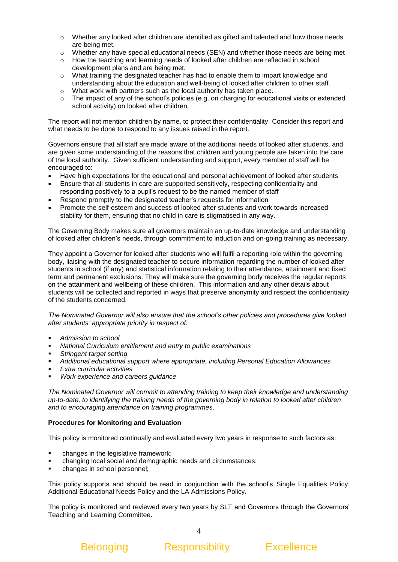- $\circ$  Whether any looked after children are identified as gifted and talented and how those needs are being met.
- o Whether any have special educational needs (SEN) and whether those needs are being met
- $\circ$  How the teaching and learning needs of looked after children are reflected in school development plans and are being met.
- o What training the designated teacher has had to enable them to impart knowledge and understanding about the education and well-being of looked after children to other staff.
- o What work with partners such as the local authority has taken place.
- $\circ$  The impact of any of the school's policies (e.g. on charging for educational visits or extended school activity) on looked after children.

The report will not mention children by name, to protect their confidentiality. Consider this report and what needs to be done to respond to any issues raised in the report.

Governors ensure that all staff are made aware of the additional needs of looked after students, and are given some understanding of the reasons that children and young people are taken into the care of the local authority. Given sufficient understanding and support, every member of staff will be encouraged to:

- Have high expectations for the educational and personal achievement of looked after students
- Ensure that all students in care are supported sensitively, respecting confidentiality and responding positively to a pupil's request to be the named member of staff
- Respond promptly to the designated teacher's requests for information
- Promote the self-esteem and success of looked after students and work towards increased stability for them, ensuring that no child in care is stigmatised in any way.

The Governing Body makes sure all governors maintain an up-to-date knowledge and understanding of looked after children's needs, through commitment to induction and on-going training as necessary.

They appoint a Governor for looked after students who will fulfil a reporting role within the governing body, liaising with the designated teacher to secure information regarding the number of looked after students in school (if any) and statistical information relating to their attendance, attainment and fixed term and permanent exclusions. They will make sure the governing body receives the regular reports on the attainment and wellbeing of these children. This information and any other details about students will be collected and reported in ways that preserve anonymity and respect the confidentiality of the students concerned.

*The Nominated Governor will also ensure that the school's other policies and procedures give looked after students' appropriate priority in respect of:* 

- *Admission to school*
- **National Curriculum entitlement and entry to public examinations**
- *Stringent target setting*
- *Additional educational support where appropriate, including Personal Education Allowances*
- *Extra curricular activities*
- *Work experience and careers quidance*

*The Nominated Governor will commit to attending training to keep their knowledge and understanding up-to-date, to identifying the training needs of the governing body in relation to looked after children and to encouraging attendance on training programmes*.

# **Procedures for Monitoring and Evaluation**

This policy is monitored continually and evaluated every two years in response to such factors as:

- changes in the legislative framework;
- changing local social and demographic needs and circumstances;
- changes in school personnel:

This policy supports and should be read in conjunction with the school's Single Equalities Policy, Additional Educational Needs Policy and the LA Admissions Policy.

The policy is monitored and reviewed every two years by SLT and Governors through the Governors' Teaching and Learning Committee.